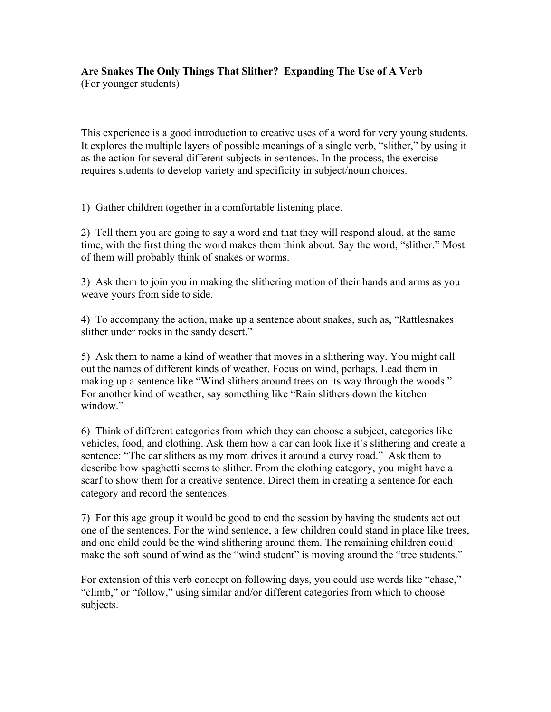## **Are Snakes The Only Things That Slither? Expanding The Use of A Verb** (For younger students)

This experience is a good introduction to creative uses of a word for very young students. It explores the multiple layers of possible meanings of a single verb, "slither," by using it as the action for several different subjects in sentences. In the process, the exercise requires students to develop variety and specificity in subject/noun choices.

1) Gather children together in a comfortable listening place.

2) Tell them you are going to say a word and that they will respond aloud, at the same time, with the first thing the word makes them think about. Say the word, "slither." Most of them will probably think of snakes or worms.

3) Ask them to join you in making the slithering motion of their hands and arms as you weave yours from side to side.

4) To accompany the action, make up a sentence about snakes, such as, "Rattlesnakes slither under rocks in the sandy desert."

5) Ask them to name a kind of weather that moves in a slithering way. You might call out the names of different kinds of weather. Focus on wind, perhaps. Lead them in making up a sentence like "Wind slithers around trees on its way through the woods." For another kind of weather, say something like "Rain slithers down the kitchen window."

6) Think of different categories from which they can choose a subject, categories like vehicles, food, and clothing. Ask them how a car can look like it's slithering and create a sentence: "The car slithers as my mom drives it around a curvy road." Ask them to describe how spaghetti seems to slither. From the clothing category, you might have a scarf to show them for a creative sentence. Direct them in creating a sentence for each category and record the sentences.

7) For this age group it would be good to end the session by having the students act out one of the sentences. For the wind sentence, a few children could stand in place like trees, and one child could be the wind slithering around them. The remaining children could make the soft sound of wind as the "wind student" is moving around the "tree students."

For extension of this verb concept on following days, you could use words like "chase," "climb," or "follow," using similar and/or different categories from which to choose subjects.